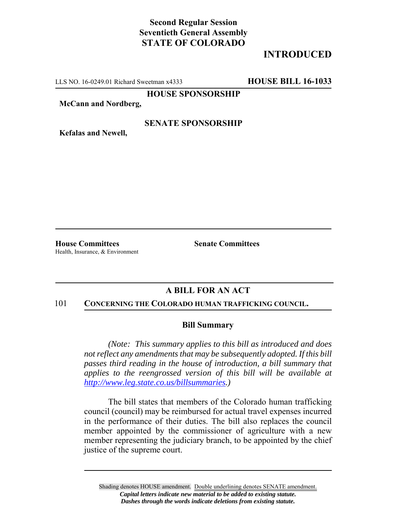# **Second Regular Session Seventieth General Assembly STATE OF COLORADO**

# **INTRODUCED**

LLS NO. 16-0249.01 Richard Sweetman x4333 **HOUSE BILL 16-1033**

**HOUSE SPONSORSHIP**

**McCann and Nordberg,**

## **SENATE SPONSORSHIP**

**Kefalas and Newell,**

**House Committees Senate Committees** Health, Insurance, & Environment

## **A BILL FOR AN ACT**

#### 101 **CONCERNING THE COLORADO HUMAN TRAFFICKING COUNCIL.**

### **Bill Summary**

*(Note: This summary applies to this bill as introduced and does not reflect any amendments that may be subsequently adopted. If this bill passes third reading in the house of introduction, a bill summary that applies to the reengrossed version of this bill will be available at http://www.leg.state.co.us/billsummaries.)*

The bill states that members of the Colorado human trafficking council (council) may be reimbursed for actual travel expenses incurred in the performance of their duties. The bill also replaces the council member appointed by the commissioner of agriculture with a new member representing the judiciary branch, to be appointed by the chief justice of the supreme court.

Shading denotes HOUSE amendment. Double underlining denotes SENATE amendment. *Capital letters indicate new material to be added to existing statute. Dashes through the words indicate deletions from existing statute.*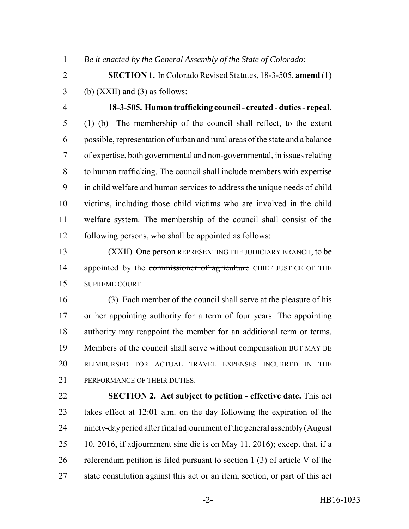*Be it enacted by the General Assembly of the State of Colorado:*

 **SECTION 1.** In Colorado Revised Statutes, 18-3-505, **amend** (1) (b) (XXII) and (3) as follows:

 **18-3-505. Human trafficking council - created - duties - repeal.** (1) (b) The membership of the council shall reflect, to the extent possible, representation of urban and rural areas of the state and a balance of expertise, both governmental and non-governmental, in issues relating to human trafficking. The council shall include members with expertise in child welfare and human services to address the unique needs of child victims, including those child victims who are involved in the child welfare system. The membership of the council shall consist of the following persons, who shall be appointed as follows:

 (XXII) One person REPRESENTING THE JUDICIARY BRANCH, to be 14 appointed by the commissioner of agriculture CHIEF JUSTICE OF THE SUPREME COURT.

 (3) Each member of the council shall serve at the pleasure of his or her appointing authority for a term of four years. The appointing authority may reappoint the member for an additional term or terms. Members of the council shall serve without compensation BUT MAY BE REIMBURSED FOR ACTUAL TRAVEL EXPENSES INCURRED IN THE PERFORMANCE OF THEIR DUTIES.

 **SECTION 2. Act subject to petition - effective date.** This act takes effect at 12:01 a.m. on the day following the expiration of the ninety-day period after final adjournment of the general assembly (August 10, 2016, if adjournment sine die is on May 11, 2016); except that, if a referendum petition is filed pursuant to section 1 (3) of article V of the state constitution against this act or an item, section, or part of this act